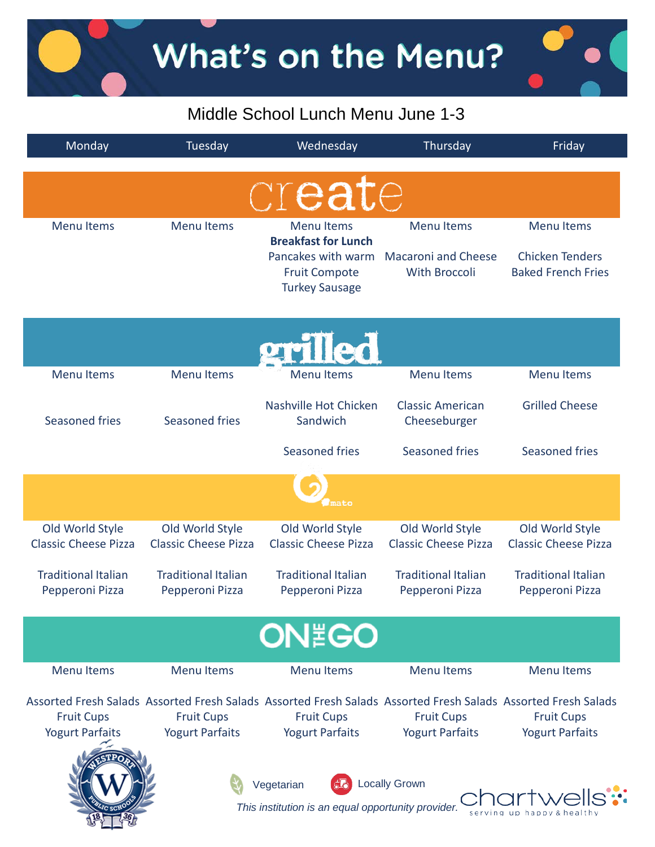## Middle School Lunch Menu June 1-3

| Monday                                        | Tuesday                                       | Wednesday                                                                                         | Thursday                                                                                                      | Friday                                              |
|-----------------------------------------------|-----------------------------------------------|---------------------------------------------------------------------------------------------------|---------------------------------------------------------------------------------------------------------------|-----------------------------------------------------|
|                                               |                                               | create                                                                                            |                                                                                                               |                                                     |
| <b>Menu Items</b>                             | <b>Menu Items</b>                             | <b>Menu Items</b>                                                                                 | <b>Menu Items</b>                                                                                             | <b>Menu Items</b>                                   |
|                                               |                                               | <b>Breakfast for Lunch</b><br>Pancakes with warm<br><b>Fruit Compote</b><br><b>Turkey Sausage</b> | <b>Macaroni and Cheese</b><br>With Broccoli                                                                   | <b>Chicken Tenders</b><br><b>Baked French Fries</b> |
|                                               |                                               | prilled                                                                                           |                                                                                                               |                                                     |
| <b>Menu Items</b>                             | <b>Menu Items</b>                             | Menu Items                                                                                        | <b>Menu Items</b>                                                                                             | <b>Menu Items</b>                                   |
| Seasoned fries                                | <b>Seasoned fries</b>                         | Nashville Hot Chicken<br>Sandwich                                                                 | <b>Classic American</b><br>Cheeseburger                                                                       | <b>Grilled Cheese</b>                               |
|                                               |                                               | Seasoned fries                                                                                    | Seasoned fries                                                                                                | <b>Seasoned fries</b>                               |
|                                               |                                               | mato                                                                                              |                                                                                                               |                                                     |
| Old World Style                               | Old World Style                               | Old World Style                                                                                   | Old World Style                                                                                               | Old World Style                                     |
| <b>Classic Cheese Pizza</b>                   | <b>Classic Cheese Pizza</b>                   | <b>Classic Cheese Pizza</b>                                                                       | <b>Classic Cheese Pizza</b>                                                                                   | <b>Classic Cheese Pizza</b>                         |
| <b>Traditional Italian</b><br>Pepperoni Pizza | <b>Traditional Italian</b><br>Pepperoni Pizza | <b>Traditional Italian</b><br>Pepperoni Pizza                                                     | <b>Traditional Italian</b><br>Pepperoni Pizza                                                                 | <b>Traditional Italian</b><br>Pepperoni Pizza       |
|                                               |                                               | <b>ON EGO</b>                                                                                     |                                                                                                               |                                                     |
| <b>Menu Items</b>                             | <b>Menu Items</b>                             | <b>Menu Items</b>                                                                                 | <b>Menu Items</b>                                                                                             | <b>Menu Items</b>                                   |
|                                               |                                               |                                                                                                   | Assorted Fresh Salads Assorted Fresh Salads Assorted Fresh Salads Assorted Fresh Salads Assorted Fresh Salads |                                                     |
| <b>Fruit Cups</b>                             | <b>Fruit Cups</b>                             | <b>Fruit Cups</b>                                                                                 | <b>Fruit Cups</b>                                                                                             | <b>Fruit Cups</b>                                   |
| <b>Yogurt Parfaits</b>                        | <b>Yogurt Parfaits</b>                        | <b>Yogurt Parfaits</b>                                                                            | <b>Yogurt Parfaits</b>                                                                                        | <b>Yogurt Parfaits</b>                              |
|                                               |                                               | Vegetarian<br>This institution is an equal opportunity provider.                                  | <b>Locally Grown</b>                                                                                          |                                                     |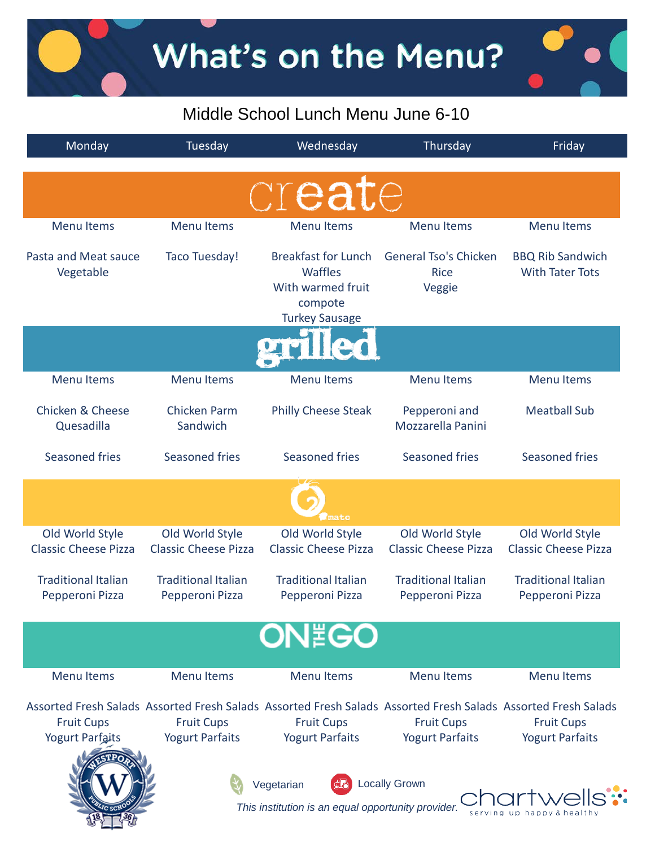What's on the Menu?

### Middle School Lunch Menu June 6-10

| Monday                                                                                   | Tuesday                                        | Wednesday                                                                                             | Thursday                                                                                                                                                     | Friday                                            |  |  |
|------------------------------------------------------------------------------------------|------------------------------------------------|-------------------------------------------------------------------------------------------------------|--------------------------------------------------------------------------------------------------------------------------------------------------------------|---------------------------------------------------|--|--|
|                                                                                          |                                                | create                                                                                                |                                                                                                                                                              |                                                   |  |  |
| <b>Menu Items</b>                                                                        | <b>Menu Items</b>                              | <b>Menu Items</b>                                                                                     | <b>Menu Items</b>                                                                                                                                            | <b>Menu Items</b>                                 |  |  |
| Pasta and Meat sauce<br>Vegetable                                                        | Taco Tuesday!                                  | <b>Breakfast for Lunch</b><br><b>Waffles</b><br>With warmed fruit<br>compote<br><b>Turkey Sausage</b> | <b>General Tso's Chicken</b><br><b>Rice</b><br>Veggie                                                                                                        | <b>BBQ Rib Sandwich</b><br><b>With Tater Tots</b> |  |  |
|                                                                                          |                                                |                                                                                                       |                                                                                                                                                              |                                                   |  |  |
| <b>Menu Items</b>                                                                        | <b>Menu Items</b>                              | <b>Menu Items</b>                                                                                     | <b>Menu Items</b>                                                                                                                                            | <b>Menu Items</b>                                 |  |  |
| <b>Chicken &amp; Cheese</b><br>Quesadilla                                                | <b>Chicken Parm</b><br>Sandwich                | <b>Philly Cheese Steak</b>                                                                            | Pepperoni and<br>Mozzarella Panini                                                                                                                           | <b>Meatball Sub</b>                               |  |  |
| Seasoned fries                                                                           | Seasoned fries                                 | <b>Seasoned fries</b>                                                                                 | Seasoned fries                                                                                                                                               | Seasoned fries                                    |  |  |
|                                                                                          |                                                | mato                                                                                                  |                                                                                                                                                              |                                                   |  |  |
| Old World Style<br><b>Classic Cheese Pizza</b>                                           | Old World Style<br><b>Classic Cheese Pizza</b> | Old World Style<br><b>Classic Cheese Pizza</b>                                                        | Old World Style<br><b>Classic Cheese Pizza</b>                                                                                                               | Old World Style<br><b>Classic Cheese Pizza</b>    |  |  |
| <b>Traditional Italian</b><br>Pepperoni Pizza                                            | <b>Traditional Italian</b><br>Pepperoni Pizza  | <b>Traditional Italian</b><br>Pepperoni Pizza                                                         | <b>Traditional Italian</b><br>Pepperoni Pizza                                                                                                                | <b>Traditional Italian</b><br>Pepperoni Pizza     |  |  |
|                                                                                          |                                                | <b>ON EGO</b>                                                                                         |                                                                                                                                                              |                                                   |  |  |
| <b>Menu Items</b>                                                                        | <b>Menu Items</b>                              | <b>Menu Items</b>                                                                                     | <b>Menu Items</b>                                                                                                                                            | <b>Menu Items</b>                                 |  |  |
| <b>Fruit Cups</b><br><b>Yogurt Parfaits</b>                                              | <b>Fruit Cups</b><br><b>Yogurt Parfaits</b>    | <b>Fruit Cups</b><br><b>Yogurt Parfaits</b>                                                           | Assorted Fresh Salads Assorted Fresh Salads Assorted Fresh Salads Assorted Fresh Salads Assorted Fresh Salads<br><b>Fruit Cups</b><br><b>Yogurt Parfaits</b> | <b>Fruit Cups</b><br><b>Yogurt Parfaits</b>       |  |  |
| <b>Locally Grown</b><br>Vegetarian<br>This institution is an equal opportunity provider. |                                                |                                                                                                       |                                                                                                                                                              |                                                   |  |  |

ЛĻ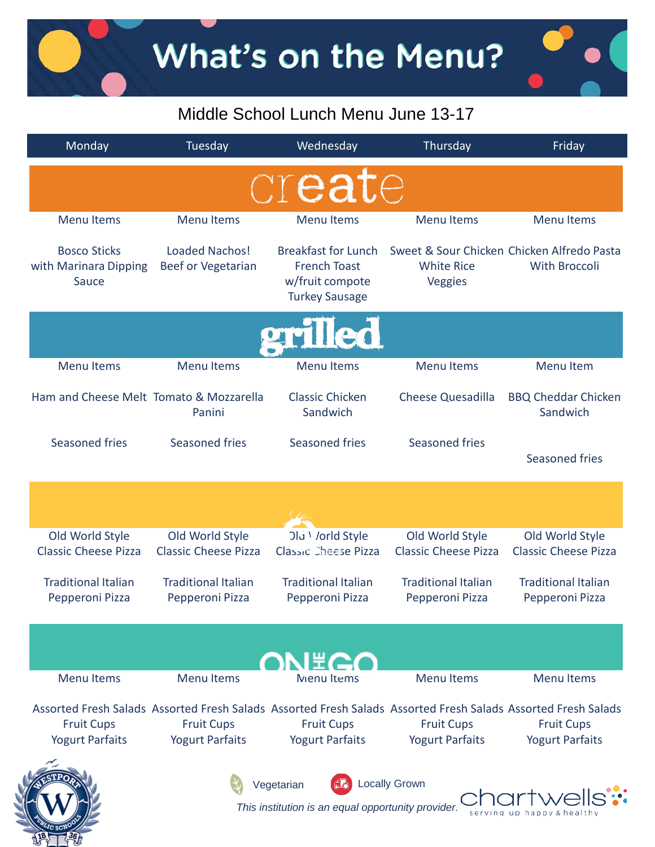# What's on the Menu?

## Middle School Lunch Menu June 13-17

| Monday                                                | Tuesday                                            | Wednesday                                                                                     | Thursday                                       | Friday                                                                                                                                                       |
|-------------------------------------------------------|----------------------------------------------------|-----------------------------------------------------------------------------------------------|------------------------------------------------|--------------------------------------------------------------------------------------------------------------------------------------------------------------|
|                                                       |                                                    | create                                                                                        |                                                |                                                                                                                                                              |
| <b>Menu Items</b>                                     | <b>Menu Items</b>                                  | <b>Menu Items</b>                                                                             | <b>Menu Items</b>                              | <b>Menu Items</b>                                                                                                                                            |
| <b>Bosco Sticks</b><br>with Marinara Dipping<br>Sauce | <b>Loaded Nachos!</b><br><b>Beef or Vegetarian</b> | <b>Breakfast for Lunch</b><br><b>French Toast</b><br>w/fruit compote<br><b>Turkey Sausage</b> | <b>White Rice</b><br>Veggies                   | Sweet & Sour Chicken Chicken Alfredo Pasta<br><b>With Broccoli</b>                                                                                           |
|                                                       |                                                    | rilled                                                                                        |                                                |                                                                                                                                                              |
| <b>Menu Items</b>                                     | <b>Menu Items</b>                                  | <b>Menu Items</b>                                                                             | <b>Menu Items</b>                              | Menu Item                                                                                                                                                    |
| Ham and Cheese Melt Tomato & Mozzarella               | Panini                                             | Classic Chicken<br>Sandwich                                                                   | <b>Cheese Quesadilla</b>                       | <b>BBQ Cheddar Chicken</b><br>Sandwich                                                                                                                       |
| <b>Seasoned fries</b>                                 | Seasoned fries                                     | <b>Seasoned fries</b>                                                                         | Seasoned fries                                 | <b>Seasoned fries</b>                                                                                                                                        |
|                                                       |                                                    |                                                                                               |                                                |                                                                                                                                                              |
| Old World Style<br><b>Classic Cheese Pizza</b>        | Old World Style<br><b>Classic Cheese Pizza</b>     | Old Vorld Style<br><b>Classic Cheese Pizza</b>                                                | Old World Style<br><b>Classic Cheese Pizza</b> | Old World Style<br><b>Classic Cheese Pizza</b>                                                                                                               |
| <b>Traditional Italian</b><br>Pepperoni Pizza         | <b>Traditional Italian</b><br>Pepperoni Pizza      | <b>Traditional Italian</b><br>Pepperoni Pizza                                                 | <b>Traditional Italian</b><br>Pepperoni Pizza  | <b>Traditional Italian</b><br>Pepperoni Pizza                                                                                                                |
|                                                       |                                                    | I #Z                                                                                          |                                                |                                                                                                                                                              |
| <b>Menu Items</b>                                     | <b>Menu Items</b>                                  | Menu Items                                                                                    | <b>Menu Items</b>                              | <b>Menu Items</b>                                                                                                                                            |
| <b>Fruit Cups</b><br><b>Yogurt Parfaits</b>           | <b>Fruit Cups</b><br><b>Yogurt Parfaits</b>        | <b>Fruit Cups</b><br><b>Yogurt Parfaits</b>                                                   | <b>Fruit Cups</b><br><b>Yogurt Parfaits</b>    | Assorted Fresh Salads Assorted Fresh Salads Assorted Fresh Salads Assorted Fresh Salads Assorted Fresh Salads<br><b>Fruit Cups</b><br><b>Yogurt Parfaits</b> |
|                                                       |                                                    | Vegetarian<br>This institution is an equal opportunity provider.                              | <b>Locally Grown</b>                           |                                                                                                                                                              |

 $18 -$